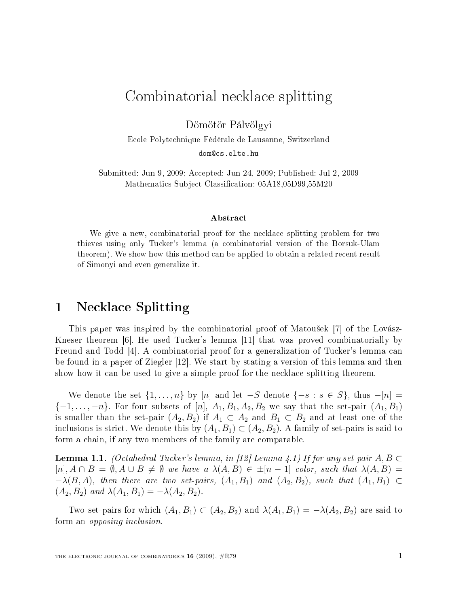# Combinatorial ne
kla
e splitting

Dömötör Pálvölgyi

E
ole Polyte
hnique Fédérale de Lausanne, Switzerland

dom@cs.elte.hu

Submitted: Jun 9, 2009; Accepted: Jun 24, 2009; Published: Jul 2, 2009 Mathematics Subject Classification: 05A18,05D99,55M20

### ${\bf Abstract}$

We give a new, ombinatorial proof for the ne
kla
e splitting problem for two thieves using only Tu
ker's lemma (a ombinatorial version of the Borsuk-Ulam theorem). We show how this method an be applied to obtain a related re
ent result of Simonyi and even generalize it.

#### 1Ne
kla
e Splitting

This paper was inspired by the combinatorial proof of Matoušek [7] of the Lovász-Kneser theorem  $|6|$ . He used Tucker's lemma  $|11|$  that was proved combinatorially by Freund and Todd  $[4]$ . A combinatorial proof for a generalization of Tucker's lemma can be found in a paper of Ziegler  $[12]$ . We start by stating a version of this lemma and then show how it can be used to give a simple proof for the necklace splitting theorem.

We denote the set  $\{1, \ldots, n\}$  by  $[n]$  and let  $-S$  denote  $\{-s : s \in S\}$ , thus  $-[n] =$  $\{-1,\ldots,-n\}$ . For four subsets of  $[n], A_1, B_1, A_2, B_2$  we say that the set-pair  $(A_1, B_1)$ is smaller than the set-pair  $(A_2, B_2)$  if  $A_1 \subset A_2$  and  $B_1 \subset B_2$  and at least one of the inclusions is strict. We denote this by  $(A_1, B_1) \subset (A_2, B_2)$ . A family of set-pairs is said to form a chain, if any two members of the family are comparable.

**Lemma 1.1.** (Octahedral Tucker's lemma, in [12] Lemma 4.1) If for any set-pair  $A, B \subset$  $[n], A \cap B = \emptyset, A \cup B \neq \emptyset$  we have a  $\lambda(A, B) \in \pm [n-1]$  color, such that  $\lambda(A, B) =$  $-\lambda(B, A)$ , then there are two set-pairs,  $(A_1, B_1)$  and  $(A_2, B_2)$ , such that  $(A_1, B_1) \subset$  $(A_2, B_2)$  and  $\lambda(A_1, B_1) = -\lambda(A_2, B_2)$ .

Two set-pairs for which  $(A_1, B_1) \subset (A_2, B_2)$  and  $\lambda(A_1, B_1) = -\lambda(A_2, B_2)$  are said to form an *opposing inclusion*.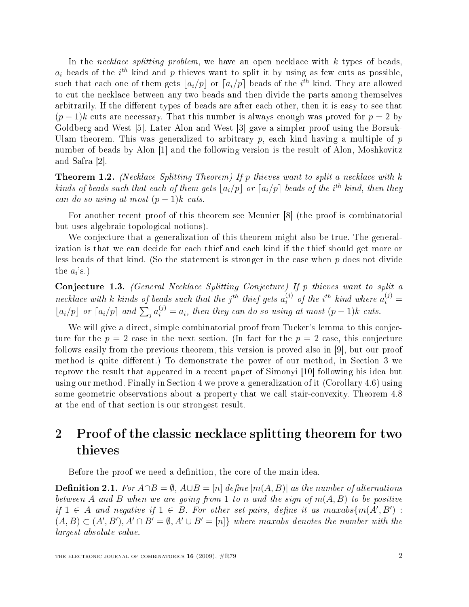In the *necklace splitting problem*, we have an open necklace with  $k$  types of beads,  $a_i$  beads of the  $i^{th}$  kind and p thieves want to split it by using as few cuts as possible, such that each one of them gets  $\lfloor a_i/p \rfloor$  or  $\lceil a_i/p \rceil$  beads of the  $i^{th}$  kind. They are allowed to cut the necklace between any two beads and then divide the parts among themselves arbitrarily. If the different types of beads are after each other, then it is easy to see that  $(p-1)k$  cuts are necessary. That this number is always enough was proved for  $p=2$  by Goldberg and West  $[5]$ . Later Alon and West  $[3]$  gave a simpler proof using the Borsuk-Ulam theorem. This was generalized to arbitrary  $p$ , each kind having a multiple of  $p$ number of beads by Alon  $[1]$  and the following version is the result of Alon, Moshkovitz and Safra  $[2]$ .

**Theorem 1.2.** (Necklace Splitting Theorem) If p thieves want to split a necklace with  $k$ kinds of beads such that each of them gets  $\lfloor a_i/p \rfloor$  or  $\lceil a_i/p \rceil$  beads of the i<sup>th</sup> kind, then they can do so using at most  $(p-1)k$  cuts.

For another recent proof of this theorem see Meunier [8] (the proof is combinatorial but uses algebrai topologi
al notions).

We conjecture that a generalization of this theorem might also be true. The generalization is that we can decide for each thief and each kind if the thief should get more or less beads of that kind. (So the statement is stronger in the case when p does not divide the  $a_i$ 's.)

Conjecture 1.3. (General Necklace Splitting Conjecture) If p thieves want to split a necklace with k kinds of beads such that the  $j^{th}$  thief gets  $a_i^{(j)}$  $i^{(j)}$  of the i<sup>th</sup> kind where  $a_i^{(j)} =$  $\lfloor a_i/p \rfloor$  or  $\lceil a_i/p \rceil$  and  $\sum_j a_i^{(j)} = a_i$ , then they can do so using at most  $(p-1)k$  cuts.

We will give a direct, simple combinatorial proof from Tucker's lemma to this conjectionture for the  $p = 2$  case in the next section. (In fact for the  $p = 2$  case, this conjecture follows easily from the previous theorem, this version is proved also in  $[9]$ , but our proof method is quite different.) To demonstrate the power of our method, in Section 3 we reprove the result that appeared in a recent paper of Simonyi [10] following his idea but using our method. Finally in Section 4 we prove a generalization of it (Corollary 4.6) using some geometric observations about a property that we call stair-convexity. Theorem 4.8 at the end of that se
tion is our strongest result.

### 2Proof of the classic necklace splitting theorem for two thieves

Before the proof we need a definition, the core of the main idea.

**Definition 2.1.** For  $A \cap B = \emptyset$ ,  $A \cup B = [n]$  define  $|m(A, B)|$  as the number of alternations between A and B when we are going from 1 to n and the sign of  $m(A, B)$  to be positive if  $1 \in A$  and negative if  $1 \in B$ . For other set-pairs, define it as maxabs $\{m(A', B') :$  $(A, B) \subset (A', B'), A' \cap B' = \emptyset, A' \cup B' = [n]$  where maxabs denotes the number with the largest absolute value.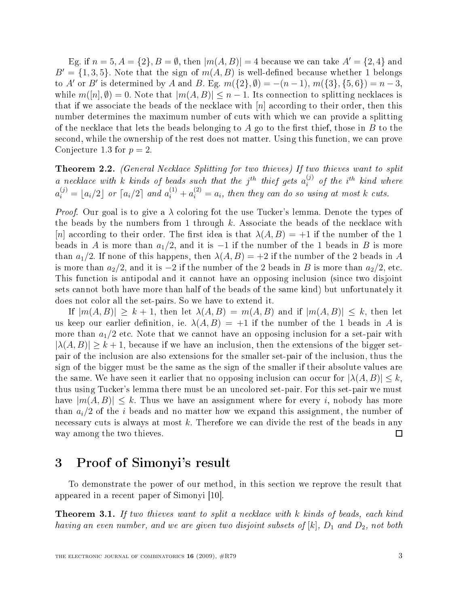Eg. if  $n = 5, A = \{2\}, B = \emptyset$ , then  $|m(A, B)| = 4$  because we can take  $A' = \{2, 4\}$  and  $B' = \{1,3,5\}$ . Note that the sign of  $m(A, B)$  is well-defined because whether 1 belongs to A' or B' is determined by A and B. Eg.  $m({2}, \emptyset) = -(n-1), m({3}, {5}, 6) = n-3$ , while  $m([n], \emptyset) = 0$ . Note that  $|m(A, B)| \leq n - 1$ . Its connection to splitting necklaces is that if we associate the beads of the necklace with  $[n]$  according to their order, then this number determines the maximum number of cuts with which we can provide a splitting of the necklace that lets the beads belonging to A go to the first thief, those in B to the second, while the ownership of the rest does not matter. Using this function, we can prove Conjecture 1.3 for  $p=2$ .

**Theorem 2.2.** (General Necklace Splitting for two thieves) If two thieves want to split a necklace with k kinds of beads such that the j<sup>th</sup> thief gets  $a_i^{(j)}$ a necklace with k kinds of beads such that the j<sup>th</sup> thief gets  $a_i^{(j)}$  of the i<sup>th</sup> kind where  $a_i^{(j)} = \lfloor a_i/2 \rfloor$  or  $\lceil a_i/2 \rceil$  and  $a_i^{(1)} + a_i^{(2)} = a_i$ , then they can do so using at most k cuts.

*Proof.* Our goal is to give a  $\lambda$  coloring fot the use Tucker's lemma. Denote the types of the beads by the numbers from 1 through  $k$ . Associate the beads of the necklace with |n| according to their order. The first idea is that  $\lambda(A, B) = +1$  if the number of the 1 beads in A is more than  $a_1/2$ , and it is  $-1$  if the number of the 1 beads in B is more than  $a_1/2$ . If none of this happens, then  $\lambda(A, B) = +2$  if the number of the 2 beads in A is more than  $a_2/2$ , and it is  $-2$  if the number of the 2 beads in B is more than  $a_2/2$ , etc. This function is antipodal and it cannot have an opposing inclusion (since two disjoint sets annot both have more than half of the beads of the same kind) but unfortunately it does not color all the set-pairs. So we have to extend it.

If  $|m(A, B)| > k+1$ , then let  $\lambda(A, B) = m(A, B)$  and if  $|m(A, B)| < k$ , then let us keep our earlier definition, ie.  $\lambda(A, B) = +1$  if the number of the 1 beads in A is more than  $a_1/2$  etc. Note that we cannot have an opposing inclusion for a set-pair with  $|\lambda(A, B)| \geq k + 1$ , because if we have an inclusion, then the extensions of the bigger setpair of the in
lusion are also extensions for the smaller set-pair of the in
lusion, thus the sign of the bigger must be the same as the sign of the smaller if their absolute values are the same. We have seen it earlier that no opposing inclusion can occur for  $|\lambda(A, B)| \leq k$ . thus using Tucker's lemma there must be an uncolored set-pair. For this set-pair we must have  $|m(A, B)| \leq k$ . Thus we have an assignment where for every i, nobody has more than  $a_i/2$  of the i beads and no matter how we expand this assignment, the number of necessary cuts is always at most k. Therefore we can divide the rest of the beads in any way among the two thieves.  $\Box$ 

#### 3Proof of Simonyi's result

To demonstrate the power of our method, in this section we reprove the result that appeared in a recent paper of Simonyi [10].

**Theorem 3.1.** If two thieves want to split a necklace with  $k$  kinds of beads, each kind having an even number, and we are given two disjoint subsets of [k],  $D_1$  and  $D_2$ , not both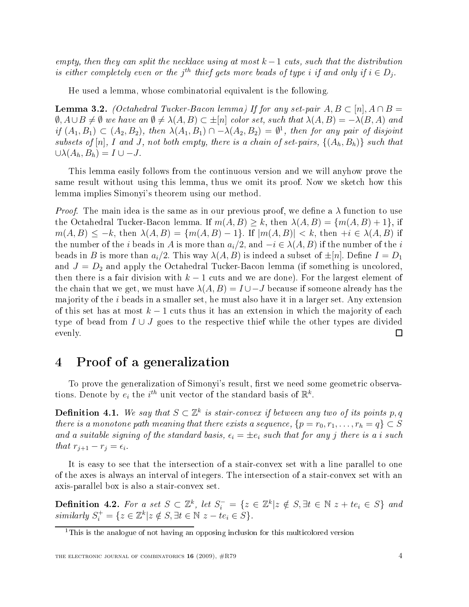empty, then they can split the necklace using at most  $k-1$  cuts, such that the distribution is either completely even or the j<sup>th</sup> thief gets more beads of type i if and only if  $i \in D_j$ .

He used a lemma, whose ombinatorial equivalent is the following.

**Lemma 3.2.** (Octahedral Tucker-Bacon lemma) If for any set-pair  $A, B \subset [n], A \cap B =$  $\emptyset$ ,  $A \cup B \neq \emptyset$  we have an  $\emptyset \neq \lambda(A, B) \subset \pm [n]$  color set, such that  $\lambda(A, B) = -\lambda(B, A)$  and if  $(A_1, B_1) \subset (A_2, B_2)$ , then  $\lambda(A_1, B_1) \cap -\lambda(A_2, B_2) = \emptyset^1$ , then for any pair of disjoint subsets of  $[n]$ , I and J, not both empty, there is a chain of set-pairs,  $\{(A_h, B_h)\}\$  such that  $\cup \lambda(A_h, B_h) = I \cup -J.$ 

This lemma easily follows from the ontinuous version and we will anyhow prove the same result without using this lemma, thus we omit its proof. Now we sketch how this lemma implies Simonyi's theorem using our method.

*Proof.* The main idea is the same as in our previous proof, we define a  $\lambda$  function to use the Octahedral Tucker-Bacon lemma. If  $m(A, B) \geq k$ , then  $\lambda(A, B) = \{m(A, B) + 1\}$ , if  $m(A, B) \leq -k$ , then  $\lambda(A, B) = \{m(A, B) - 1\}$ . If  $|m(A, B)| < k$ , then  $+i \in \lambda(A, B)$  if the number of the *i* beads in A is more than  $a_i/2$ , and  $-i \in \lambda(A, B)$  if the number of the *i* beads in B is more than  $a_i/2$ . This way  $\lambda(A, B)$  is indeed a subset of  $\pm[n]$ . Define  $I = D_1$ and  $J = D_2$  and apply the Octahedral Tucker-Bacon lemma (if something is uncolored, then there is a fair division with  $k-1$  cuts and we are done). For the largest element of the chain that we get, we must have  $\lambda(A, B) = I \cup -J$  because if someone already has the majority of the  $i$  beads in a smaller set, he must also have it in a larger set. Any extension of this set has at most  $k-1$  cuts thus it has an extension in which the majority of each type of bead from  $I \cup J$  goes to the respective thief while the other types are divided evenly.  $\Box$ 

#### 4Proof of <sup>a</sup> generalization

To prove the generalization of Simonyi's result, first we need some geometric observations. Denote by  $e_i$  the  $i^{th}$  unit vector of the standard basis of  $\mathbb{R}^k$ .

**Definition 4.1.** We say that  $S \subset \mathbb{Z}^k$  is stair-convex if between any two of its points p, q there is a monotone path meaning that there exists a sequence,  $\{p = r_0, r_1, \ldots, r_h = q\} \subset S$ and a suitable signing of the standard basis,  $\epsilon_i = \pm e_i$  such that for any j there is a i such that  $r_{j+1} - r_j = \epsilon_i$ .

It is easy to see that the interse
tion of a staironvex set with a line parallel to one of the axes is always an interval of integers. The intersection of a stair-convex set with an axis-parallel box is also a staironvex set.

**Definition 4.2.** For a set  $S \subset \mathbb{Z}^k$ , let  $S_i^- = \{z \in \mathbb{Z}^k | z \notin S, \exists t \in \mathbb{N} \ z + t e_i \in S \}$  and similarly  $S_i^+ = \{z \in \mathbb{Z}^k | z \notin S, \exists t \in \mathbb{N} \ z - t e_i \in S \}.$ 

t ins is the analogue of not having an opposing inclusion for this multicolored version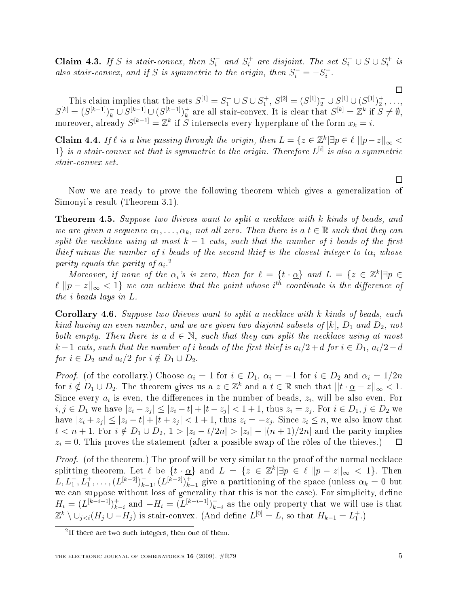Claim 4.3. If S is stair-convex, then  $S_i^-$  and  $S_i^+$  are disjoint. The set  $S_i^- \cup S \cup S_i^+$  is also stair-convex, and if S is symmetric to the origin, then  $S_i^- = -S_i^+$ .

This claim implies that the sets  $S^{[1]} = S_1^- \cup S \cup S_1^+, S^{[2]} = (S^{[1]})_2^- \cup S^{[1]} \cup (S^{[1]})_2^+, \ldots,$  $S^{[k]} = (S^{[k-1]})_k^- \cup S^{[k-1]} \cup (S^{[k-1]})_k^+$ <sup>+</sup> are all stair-convex. It is clear that  $S^{[k]} = \mathbb{Z}^k$  if  $S \neq \emptyset$ , moreover, already  $S^{[k-1]} = \mathbb{Z}^k$  if S intersects every hyperplane of the form  $x_k = i$ .

**Claim 4.4.** If  $\ell$  is a line passing through the origin, then  $L = \{z \in \mathbb{Z}^k | \exists p \in \ell \, ||p-z||_{\infty}$  $1\}$  is a stair-convex set that is symmetric to the origin. Therefore  $L^{[i]}$  is also a symmetric

Now we are ready to prove the following theorem whi
h gives a generalization of Simonyi's result (Theorem 3.1).

**Theorem 4.5.** Suppose two thieves want to split a necklace with k kinds of beads, and we are given a sequence  $\alpha_1, \ldots, \alpha_k$ , not all zero. Then there is a  $t \in \mathbb{R}$  such that they can split the necklace using at most  $k-1$  cuts, such that the number of i beads of the first thief minus the number of i beads of the second thief is the closest integer to  $t\alpha_i$  whose parity equals the parity of  $a_i$ .<sup>2</sup>

Moreover, if none of the  $\alpha_i$ 's is zero, then for  $\ell = \{t \cdot \underline{\alpha}\}\$  and  $L = \{z \in \mathbb{Z}^k | \exists p \in \mathbb{Z}\}$  $\ell||p-z||_{\infty} < 1$ } we can achieve that the point whose i<sup>th</sup> coordinate is the difference of the i beads lays in L.

Corollary 4.6. Suppose two thieves want to split a necklace with k kinds of beads, each kind having an even number, and we are given two disjoint subsets of  $[k],\, D_1$  and  $D_2,$  not both empty. Then there is a  $d \in \mathbb{N}$ , such that they can split the necklace using at most  $k-1$  cuts, such that the number of i beads of the first thief is  $a_i/2+d$  for  $i \in D_1$ ,  $a_i/2-d$ for  $i \in D_2$  and  $a_i/2$  for  $i \notin D_1 \cup D_2$ .

*Proof.* (of the corollary.) Choose  $\alpha_i = 1$  for  $i \in D_1$ ,  $\alpha_i = -1$  for  $i \in D_2$  and  $\alpha_i = 1/2n$ for  $i \notin D_1 \cup D_2$ . The theorem gives us a  $z \in \mathbb{Z}^k$  and a  $t \in \mathbb{R}$  such that  $||t \cdot \underline{\alpha} - z||_{\infty} < 1$ . Since every  $a_i$  is even, the differences in the number of beads,  $z_i$ , will be also even. For  $i,j\in D_1$  we have  $|z_i-z_j|\leq |z_i-t|+|t-z_j|<1+1,$  thus  $z_i=z_j.$  For  $i\in D_1, j\in D_2$  we have  $|z_i + z_j| \leq |z_i - t| + |t + z_j| < 1 + 1$ , thus  $z_i = -z_j$ . Since  $z_i \leq n$ , we also know that  $t < n+1$ . For  $i \notin D_1 \cup D_2$ ,  $1 > |z_i - t/2n| > |z_i| - |(n+1)/2n|$  and the parity implies  $z_i = 0$ . This proves the statement (after a possible swap of the rôles of the thieves.)  $\Box$ 

Proof. (of the theorem.) The proof will be very similar to the proof of the normal ne
kla
e splitting theorem. Let  $\ell$  be  $\{t \cdot \underline{\alpha}\}$  and  $L = \{z \in \mathbb{Z}^k | \exists p \in \ell | |p - z|_{\infty} < 1\}$ . Then  $L, L_1^-, L_1^+, \ldots, (L^{[k-2]})_k^ _{k-1}^-, (L^{[k-2]})_{k-1}^+$  give a partitioning of the space (unless  $\alpha_k = 0$  but we can suppose without loss of generality that this is not the case). For simplicity, define  $H_i = (L^{[k-i-1]})_{k-i}^+$  and  $-H_i = (L^{[k-i-1]})_k^$  $k-i$  as the only property that we will use is that  $\mathbb{Z}^k \setminus \cup_{j < i} (H_j \cup -H_j)$  is stair-convex. (And define  $L^{[0]} = L$ , so that  $H_{k-1} = L_1^+$ .)

 $\Box$ 

 $\Box$ 

<sup>-</sup> It there are two such integers, then one of them.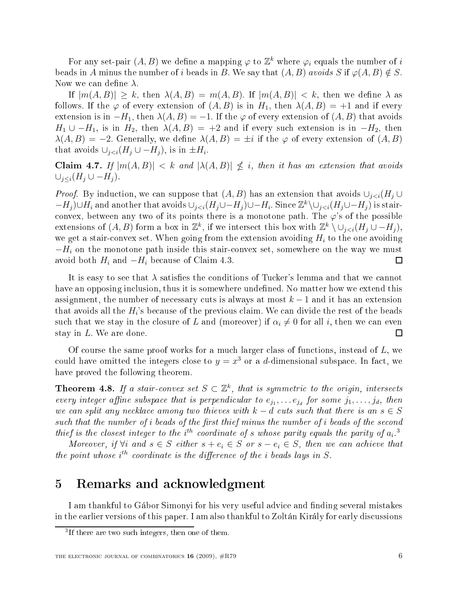For any set-pair  $(A, B)$  we define a mapping  $\varphi$  to  $\mathbb{Z}^k$  where  $\varphi_i$  equals the number of  $i$ beads in A minus the number of i beads in B. We say that  $(A, B)$  avoids  $S$  if  $\varphi(A, B) \notin S$ . Now we can define  $\lambda$ .

If  $|m(A, B)| \geq k$ , then  $\lambda(A, B) = m(A, B)$ . If  $|m(A, B)| < k$ , then we define  $\lambda$  as follows. If the  $\varphi$  of every extension of  $(A, B)$  is in  $H_1$ , then  $\lambda(A, B) = +1$  and if every extension is in  $-H_1$ , then  $\lambda(A, B) = -1$ . If the  $\varphi$  of every extension of  $(A, B)$  that avoids  $H_1 \cup -H_1$ , is in  $H_2$ , then  $\lambda(A, B) = +2$  and if every such extension is in  $-H_2$ , then  $\lambda(A, B) = -2$ . Generally, we define  $\lambda(A, B) = \pm i$  if the  $\varphi$  of every extension of  $(A, B)$ that avoids  $\cup_{j, is in  $\pm H_i$ .$ 

Claim 4.7. If  $|m(A, B)| < k$  and  $|\lambda(A, B)| \nleq i$ , then it has an extension that avoids  $\cup_{i\leq i}(H_i\cup -H_i).$ 

*Proof.* By induction, we can suppose that  $(A, B)$  has an extension that avoids  $\cup_{j < i} (H_j \cup$  $-H_j$ )∪ $H_i$  and another that avoids  $\cup_{j. Since  $\mathbb{Z}^k\setminus\cup_{j is stair$$ convex, between any two of its points there is a monotone path. The  $\varphi$ 's of the possible extensions of  $(A, B)$  form a box in  $\mathbb{Z}^k$ , if we intersect this box with  $\mathbb{Z}^k \setminus \cup_{j < i} (H_j \cup -H_j)$ , we get a stair-convex set. When going from the extension avoiding  $H_i$  to the one avoiding  $-H_i$  on the monotone path inside this stair-convex set, somewhere on the way we must avoid both  $H_i$  and  $-H_i$  because of Claim 4.3. □

It is easy to see that  $\lambda$  satisfies the conditions of Tucker's lemma and that we cannot have an opposing inclusion, thus it is somewhere undefined. No matter how we extend this assignment, the number of necessary cuts is always at most  $k-1$  and it has an extension that avoids all the  $H_i$ 's because of the previous claim. We can divide the rest of the beads such that we stay in the closure of L and (moreover) if  $\alpha_i \neq 0$  for all i, then we can even stay in L. We are done.  $\Box$ 

Of course the same proof works for a much larger class of functions, instead of  $L$ , we could have omitted the integers close to  $y = x^3$  or a d-dimensional subspace. In fact, we have proved the following theorem.

**Theorem 4.8.** If a stair-convex set  $S \subset \mathbb{Z}^k$ , that is symmetric to the origin, intersects every integer affine subspace that is perpendicular to  $e_{j_1}, \ldots e_{j_d}$  for some  $j_1, \ldots, j_d$ , then we can split any necklace among two thieves with  $k - d$  cuts such that there is an  $s \in S$ such that the number of  $i$  beads of the first thief minus the number of  $i$  beads of the second thief is the closest integer to the i<sup>th</sup> coordinate of s whose parity equals the parity of  $a_i$ .<sup>3</sup>

Moreover, if  $\forall i$  and  $s \in S$  either  $s + e_i \in S$  or  $s - e_i \in S$ , then we can achieve that the point whose  $i^{th}$  coordinate is the difference of the *i* beads lays in  $S$ .

#### 5Remarks and acknowledgment

I am thankful to Gábor Simonyi for his very useful advice and finding several mistakes in the earlier versions of this paper. I am also thankful to Zoltán Király for early dis
ussions

In there are two such integers, then one of them.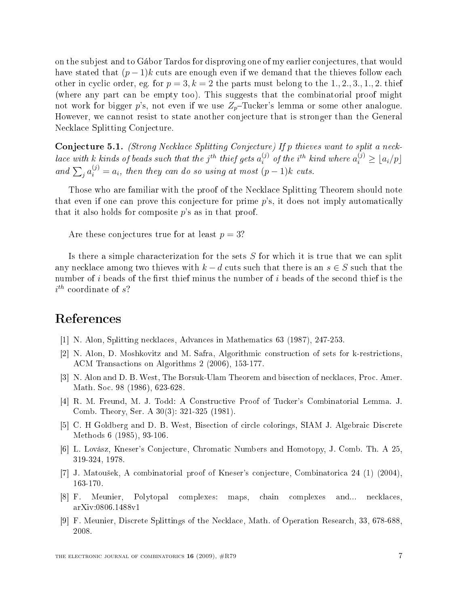on the subjest and to Gábor Tardos for disproving one of my earlier conjectures, that would have stated that  $(p-1)k$  cuts are enough even if we demand that the thieves follow each other in cyclic order, eg. for  $p = 3, k = 2$  the parts must belong to the 1, 2, 3, 1, 2, thief (where any part can be empty too). This suggests that the combinatorial proof might not work for bigger p's, not even if we use  $Z_p$ -Tucker's lemma or some other analogue. However, we cannot resist to state another conjecture that is stronger than the General Ne
kla
e Splitting Conje
ture.

Conjecture 5.1. (Strong Necklace Splitting Conjecture) If p thieves want to split a necklace with  $k$  kinds of beads such that the  $j^{th}$  thief gets  $a_i^{(j)}$  $i^{(j)}$  of the i<sup>th</sup> kind where  $a_i^{(j)} \geq \lfloor a_i/p \rfloor$ and  $\sum_{j} a_i^{(j)} = a_i$ , then they can do so using at most  $(p-1)k$  cuts.

Those who are familiar with the proof of the Ne
kla
e Splitting Theorem should note that even if one can prove this conjecture for prime  $p$ 's, it does not imply automatically that it also holds for composite  $p$ 's as in that proof.

Are these conjectures true for at least  $p = 3$ ?

Is there a simple characterization for the sets  $S$  for which it is true that we can split any necklace among two thieves with  $k - d$  cuts such that there is an  $s \in S$  such that the number of i beads of the first thief minus the number of i beads of the second thief is the  $i^{th}$  coordinate of s?

## Referen
es

- [1] N. Alon, Splitting necklaces, Advances in Mathematics 63 (1987), 247-253.
- [2] N. Alon, D. Moshkovitz and M. Safra, Algorithmic construction of sets for k-restrictions, ACM Transa
tions on Algorithms 2 (2006), 153-177.
- [3] N. Alon and D. B. West, The Borsuk-Ulam Theorem and bisection of necklaces, Proc. Amer. Math. So
. 98 (1986), 623-628.
- [4] R. M. Freund, M. J. Todd: A Constructive Proof of Tucker's Combinatorial Lemma. J. Comb. Theory, Ser. A 30(3): 321-325 (1981).
- [5] C. H Goldberg and D. B. West, Bisection of circle colorings, SIAM J. Algebraic Discrete Methods 6 (1985), 93-106.
- [6] L. Lovász, Kneser's Conjecture, Chromatic Numbers and Homotopy, J. Comb. Th. A 25, 319-324, 1978.
- [7] J. Matoušek, A combinatorial proof of Kneser's conjecture, Combinatorica 24 (1) (2004), 163-170.
- [8] F. Meunier, Polytopal complexes: maps, chain complexes and... necklaces, arXiv:0806.1488v1
- [9] F. Meunier, Discrete Splittings of the Necklace, Math. of Operation Research, 33, 678-688, 2008.